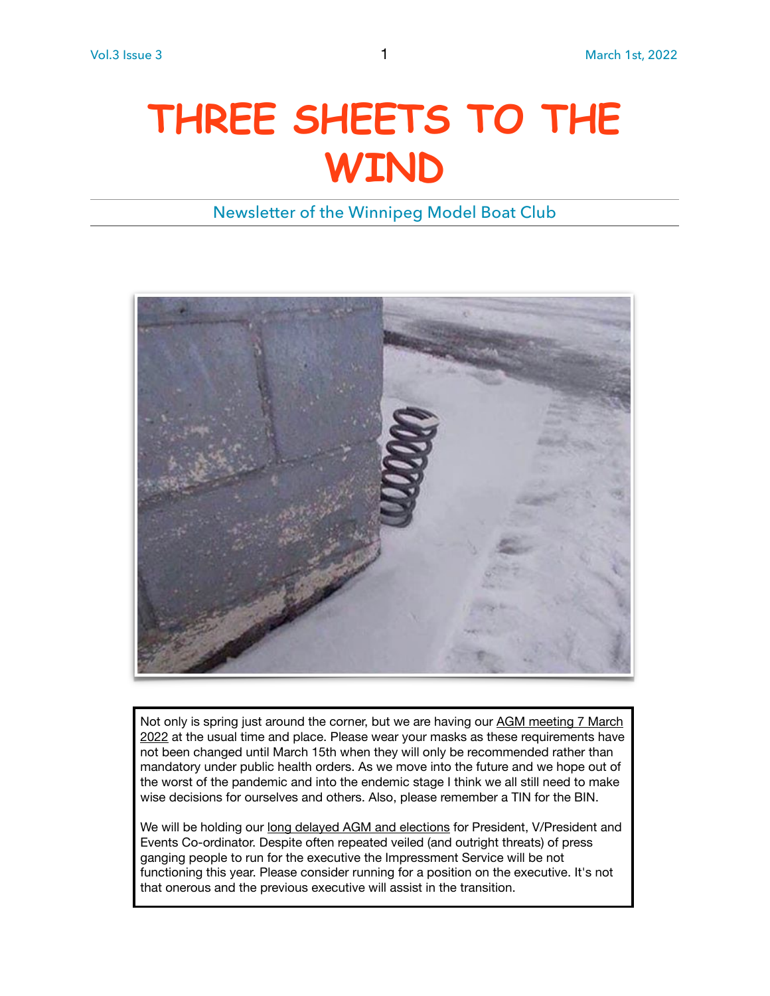# **THREE SHEETS TO THE WIND**

Newsletter of the Winnipeg Model Boat Club



Not only is spring just around the corner, but we are having our AGM meeting 7 March 2022 at the usual time and place. Please wear your masks as these requirements have not been changed until March 15th when they will only be recommended rather than mandatory under public health orders. As we move into the future and we hope out of the worst of the pandemic and into the endemic stage I think we all still need to make wise decisions for ourselves and others. Also, please remember a TIN for the BIN.

We will be holding our long delayed AGM and elections for President, V/President and Events Co-ordinator. Despite often repeated veiled (and outright threats) of press ganging people to run for the executive the Impressment Service will be not functioning this year. Please consider running for a position on the executive. It's not that onerous and the previous executive will assist in the transition.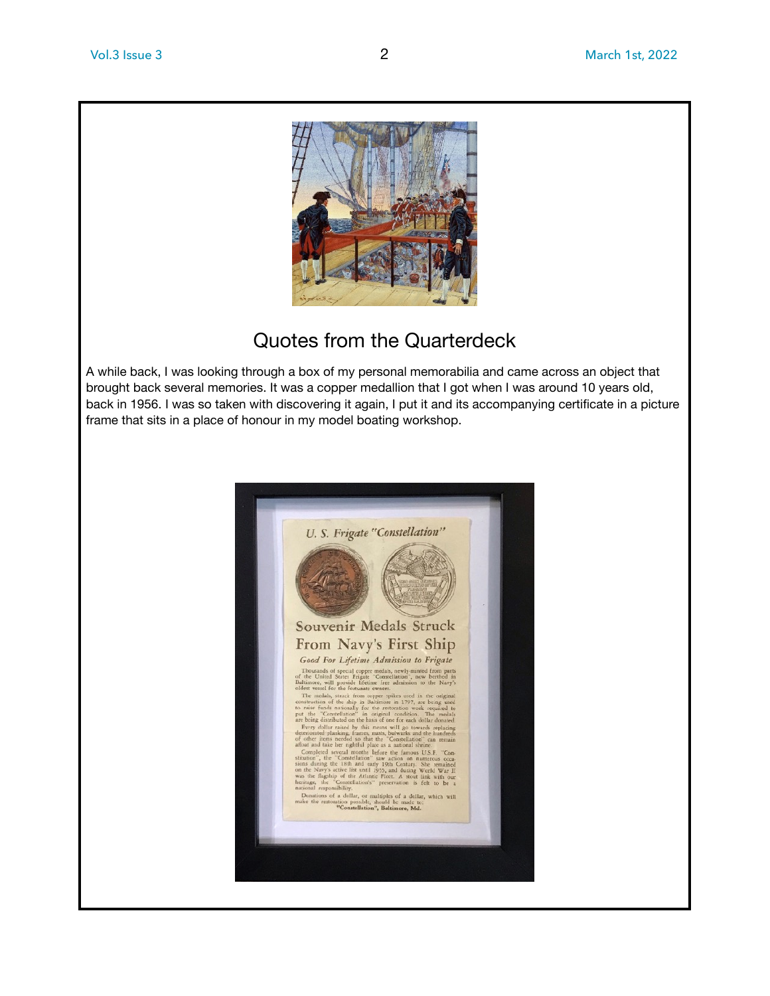

## Quotes from the Quarterdeck

A while back, I was looking through a box of my personal memorabilia and came across an object that brought back several memories. It was a copper medallion that I got when I was around 10 years old, back in 1956. I was so taken with discovering it again, I put it and its accompanying certificate in a picture frame that sits in a place of honour in my model boating workshop.

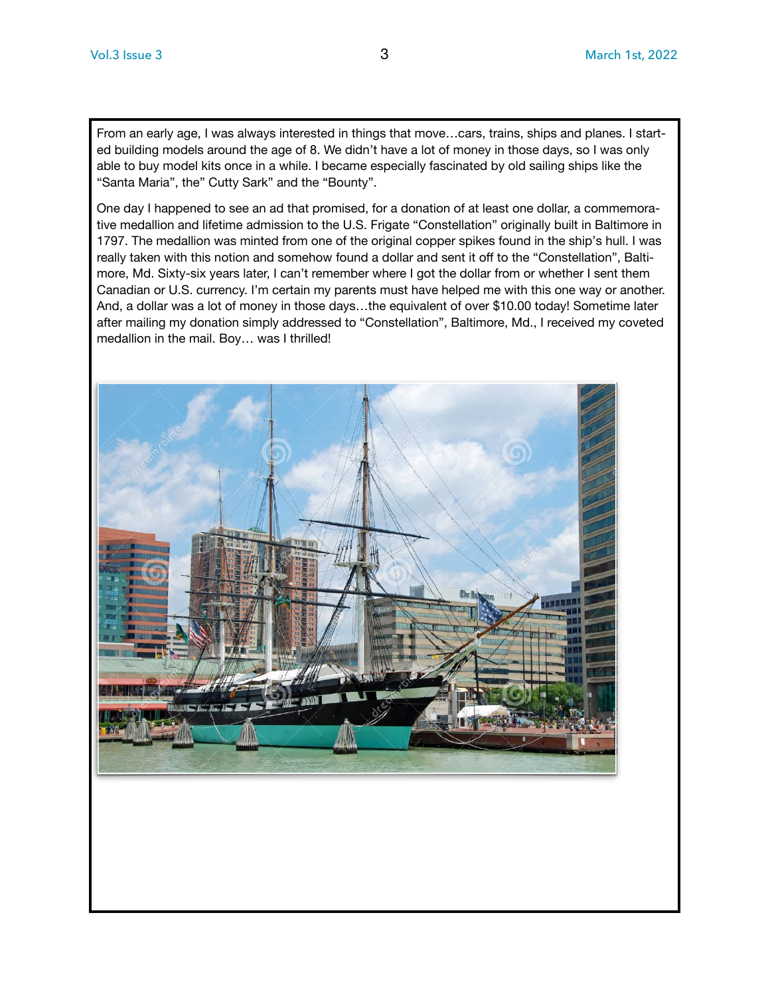From an early age, I was always interested in things that move…cars, trains, ships and planes. I started building models around the age of 8. We didn't have a lot of money in those days, so I was only able to buy model kits once in a while. I became especially fascinated by old sailing ships like the "Santa Maria", the" Cutty Sark" and the "Bounty".

One day I happened to see an ad that promised, for a donation of at least one dollar, a commemorative medallion and lifetime admission to the U.S. Frigate "Constellation" originally built in Baltimore in 1797. The medallion was minted from one of the original copper spikes found in the ship's hull. I was really taken with this notion and somehow found a dollar and sent it off to the "Constellation", Baltimore, Md. Sixty-six years later, I can't remember where I got the dollar from or whether I sent them Canadian or U.S. currency. I'm certain my parents must have helped me with this one way or another. And, a dollar was a lot of money in those days…the equivalent of over \$10.00 today! Sometime later after mailing my donation simply addressed to "Constellation", Baltimore, Md., I received my coveted medallion in the mail. Boy… was I thrilled!

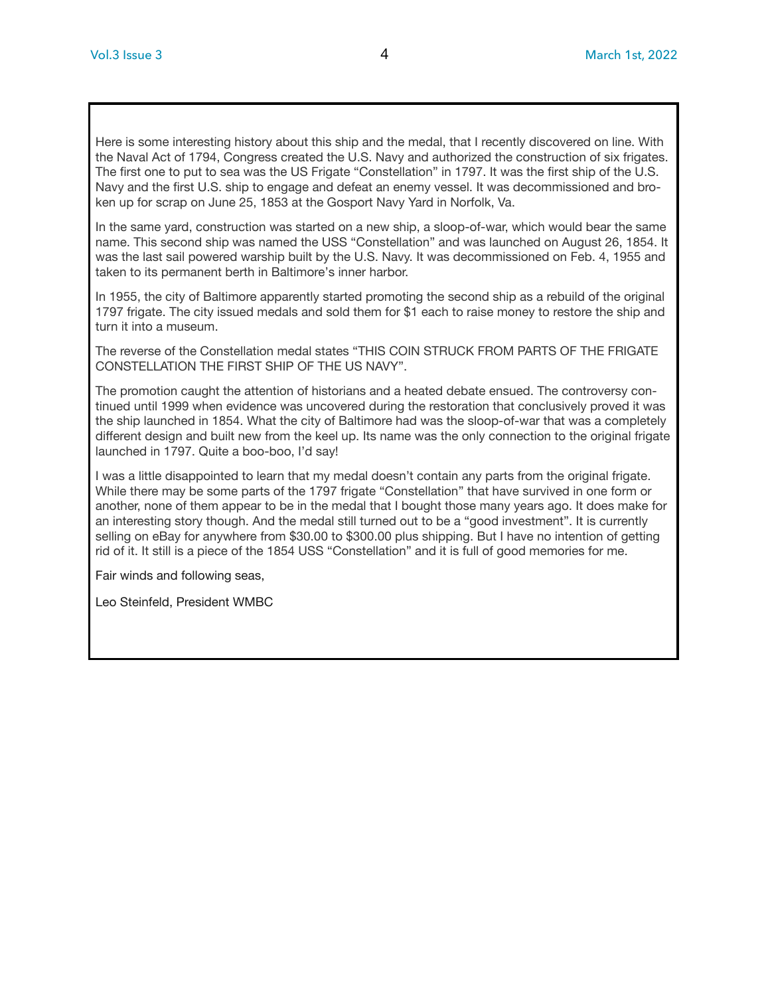Here is some interesting history about this ship and the medal, that I recently discovered on line. With the Naval Act of 1794, Congress created the U.S. Navy and authorized the construction of six frigates. The first one to put to sea was the US Frigate "Constellation" in 1797. It was the first ship of the U.S. Navy and the first U.S. ship to engage and defeat an enemy vessel. It was decommissioned and broken up for scrap on June 25, 1853 at the Gosport Navy Yard in Norfolk, Va.

In the same yard, construction was started on a new ship, a sloop-of-war, which would bear the same name. This second ship was named the USS "Constellation" and was launched on August 26, 1854. It was the last sail powered warship built by the U.S. Navy. It was decommissioned on Feb. 4, 1955 and taken to its permanent berth in Baltimore's inner harbor.

In 1955, the city of Baltimore apparently started promoting the second ship as a rebuild of the original 1797 frigate. The city issued medals and sold them for \$1 each to raise money to restore the ship and turn it into a museum.

The reverse of the Constellation medal states "THIS COIN STRUCK FROM PARTS OF THE FRIGATE CONSTELLATION THE FIRST SHIP OF THE US NAVY".

The promotion caught the attention of historians and a heated debate ensued. The controversy continued until 1999 when evidence was uncovered during the restoration that conclusively proved it was the ship launched in 1854. What the city of Baltimore had was the sloop-of-war that was a completely different design and built new from the keel up. Its name was the only connection to the original frigate launched in 1797. Quite a boo-boo, I'd say!

I was a little disappointed to learn that my medal doesn't contain any parts from the original frigate. While there may be some parts of the 1797 frigate "Constellation" that have survived in one form or another, none of them appear to be in the medal that I bought those many years ago. It does make for an interesting story though. And the medal still turned out to be a "good investment". It is currently selling on eBay for anywhere from \$30.00 to \$300.00 plus shipping. But I have no intention of getting rid of it. It still is a piece of the 1854 USS "Constellation" and it is full of good memories for me.

Fair winds and following seas,

Leo Steinfeld, President WMBC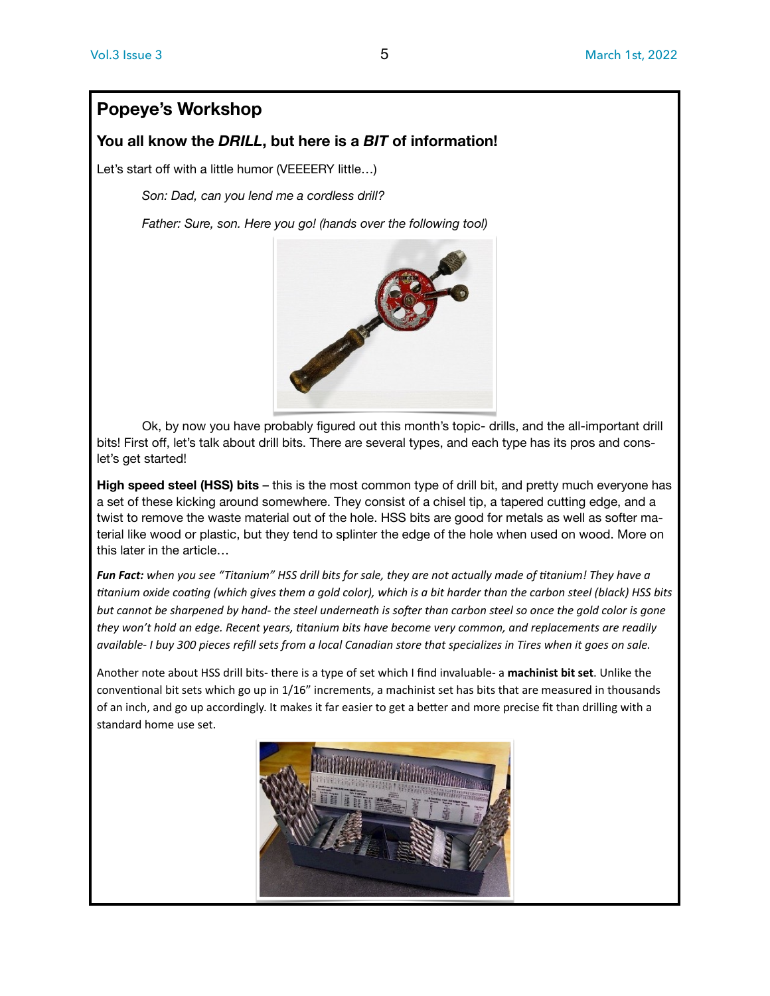### **Popeye's Workshop**

#### **You all know the** *DRILL***, but here is a** *BIT* **of information!**

Let's start off with a little humor (VEEEERY little...)

*Son: Dad, can you lend me a cordless drill?* 

*Father: Sure, son. Here you go! (hands over the following tool)* 



Ok, by now you have probably figured out this month's topic- drills, and the all-important drill bits! First off, let's talk about drill bits. There are several types, and each type has its pros and conslet's get started!

**High speed steel (HSS) bits** – this is the most common type of drill bit, and pretty much everyone has a set of these kicking around somewhere. They consist of a chisel tip, a tapered cutting edge, and a twist to remove the waste material out of the hole. HSS bits are good for metals as well as softer material like wood or plastic, but they tend to splinter the edge of the hole when used on wood. More on this later in the article…

*Fun Fact: when you see "Titanium" HSS drill bits for sale, they are not actually made of titanium! They have a titanium oxide coating (which gives them a gold color), which is a bit harder than the carbon steel (black) HSS bits*  but cannot be sharpened by hand- the steel underneath is softer than carbon steel so once the gold color is gone *they won't hold an edge. Recent years, titanium bits have become very common, and replacements are readily available- I buy 300 pieces refill sets from a local Canadian store that specializes in Tires when it goes on sale.* 

Another note about HSS drill bits- there is a type of set which I find invaluable- a **machinist bit set**. Unlike the conventional bit sets which go up in 1/16" increments, a machinist set has bits that are measured in thousands of an inch, and go up accordingly. It makes it far easier to get a better and more precise fit than drilling with a standard home use set.

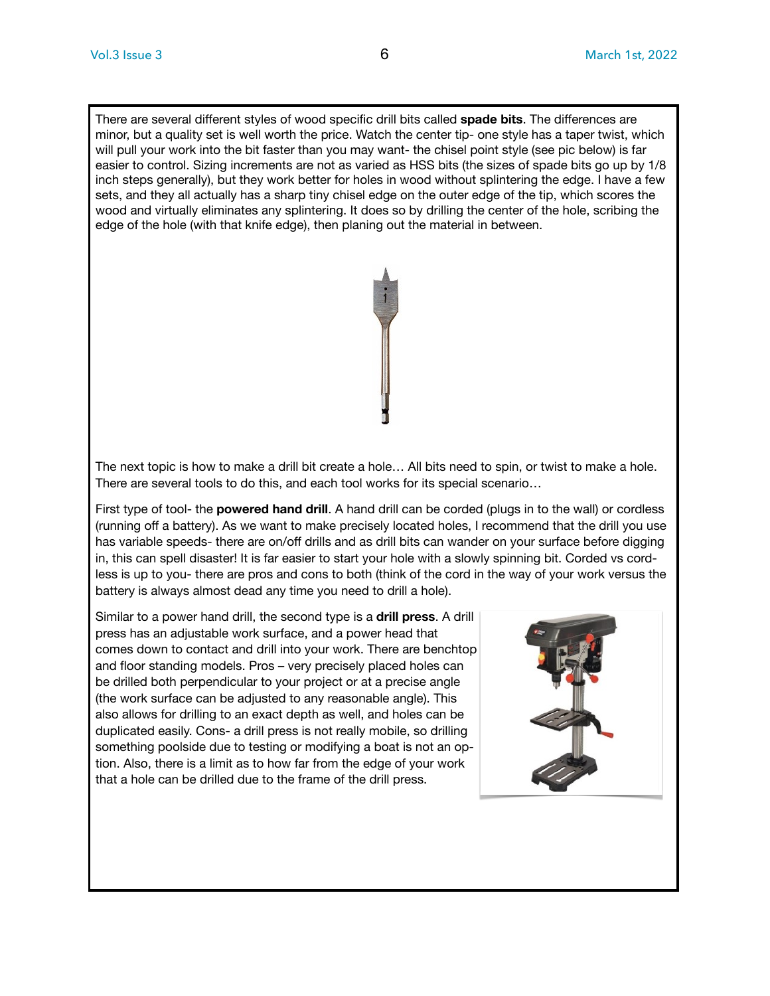There are several different styles of wood specific drill bits called **spade bits**. The differences are minor, but a quality set is well worth the price. Watch the center tip- one style has a taper twist, which will pull your work into the bit faster than you may want- the chisel point style (see pic below) is far easier to control. Sizing increments are not as varied as HSS bits (the sizes of spade bits go up by 1/8 inch steps generally), but they work better for holes in wood without splintering the edge. I have a few sets, and they all actually has a sharp tiny chisel edge on the outer edge of the tip, which scores the wood and virtually eliminates any splintering. It does so by drilling the center of the hole, scribing the edge of the hole (with that knife edge), then planing out the material in between.



The next topic is how to make a drill bit create a hole… All bits need to spin, or twist to make a hole. There are several tools to do this, and each tool works for its special scenario…

First type of tool- the **powered hand drill**. A hand drill can be corded (plugs in to the wall) or cordless (running off a battery). As we want to make precisely located holes, I recommend that the drill you use has variable speeds- there are on/off drills and as drill bits can wander on your surface before digging in, this can spell disaster! It is far easier to start your hole with a slowly spinning bit. Corded vs cordless is up to you- there are pros and cons to both (think of the cord in the way of your work versus the battery is always almost dead any time you need to drill a hole).

Similar to a power hand drill, the second type is a **drill press**. A drill press has an adjustable work surface, and a power head that comes down to contact and drill into your work. There are benchtop and floor standing models. Pros – very precisely placed holes can be drilled both perpendicular to your project or at a precise angle (the work surface can be adjusted to any reasonable angle). This also allows for drilling to an exact depth as well, and holes can be duplicated easily. Cons- a drill press is not really mobile, so drilling something poolside due to testing or modifying a boat is not an option. Also, there is a limit as to how far from the edge of your work that a hole can be drilled due to the frame of the drill press.

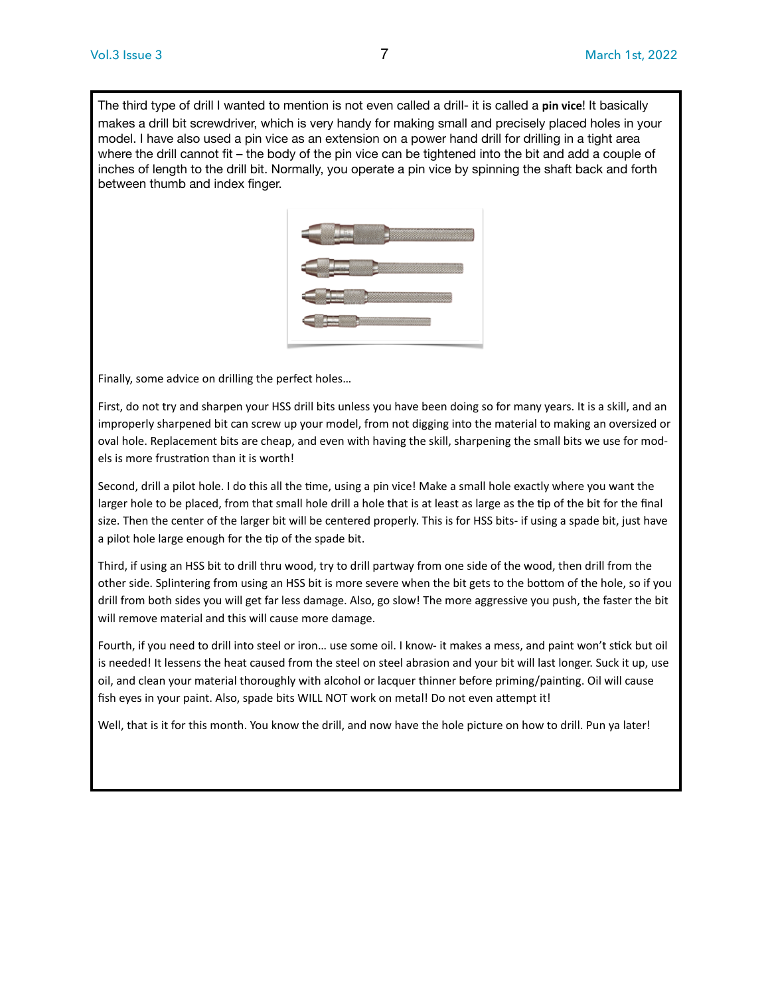The third type of drill I wanted to mention is not even called a drill- it is called a **pin vice**! It basically makes a drill bit screwdriver, which is very handy for making small and precisely placed holes in your model. I have also used a pin vice as an extension on a power hand drill for drilling in a tight area where the drill cannot fit – the body of the pin vice can be tightened into the bit and add a couple of inches of length to the drill bit. Normally, you operate a pin vice by spinning the shaft back and forth between thumb and index finger.



Finally, some advice on drilling the perfect holes…

First, do not try and sharpen your HSS drill bits unless you have been doing so for many years. It is a skill, and an improperly sharpened bit can screw up your model, from not digging into the material to making an oversized or oval hole. Replacement bits are cheap, and even with having the skill, sharpening the small bits we use for models is more frustration than it is worth!

Second, drill a pilot hole. I do this all the time, using a pin vice! Make a small hole exactly where you want the larger hole to be placed, from that small hole drill a hole that is at least as large as the tip of the bit for the final size. Then the center of the larger bit will be centered properly. This is for HSS bits- if using a spade bit, just have a pilot hole large enough for the tip of the spade bit.

Third, if using an HSS bit to drill thru wood, try to drill partway from one side of the wood, then drill from the other side. Splintering from using an HSS bit is more severe when the bit gets to the bottom of the hole, so if you drill from both sides you will get far less damage. Also, go slow! The more aggressive you push, the faster the bit will remove material and this will cause more damage.

Fourth, if you need to drill into steel or iron… use some oil. I know- it makes a mess, and paint won't stick but oil is needed! It lessens the heat caused from the steel on steel abrasion and your bit will last longer. Suck it up, use oil, and clean your material thoroughly with alcohol or lacquer thinner before priming/painting. Oil will cause fish eyes in your paint. Also, spade bits WILL NOT work on metal! Do not even attempt it!

Well, that is it for this month. You know the drill, and now have the hole picture on how to drill. Pun ya later!